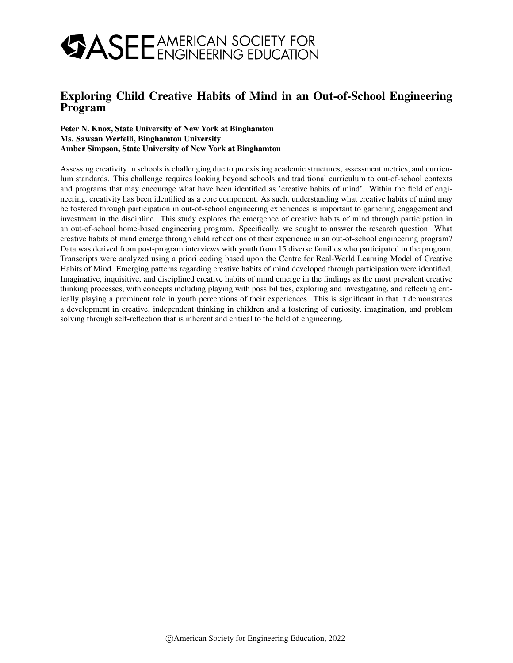## Exploring Child Creative Habits of Mind in an Out-of-School Engineering Program

### Peter N. Knox, State University of New York at Binghamton Ms. Sawsan Werfelli, Binghamton University Amber Simpson, State University of New York at Binghamton

Assessing creativity in schools is challenging due to preexisting academic structures, assessment metrics, and curriculum standards. This challenge requires looking beyond schools and traditional curriculum to out-of-school contexts and programs that may encourage what have been identified as 'creative habits of mind'. Within the field of engineering, creativity has been identified as a core component. As such, understanding what creative habits of mind may be fostered through participation in out-of-school engineering experiences is important to garnering engagement and investment in the discipline. This study explores the emergence of creative habits of mind through participation in an out-of-school home-based engineering program. Specifically, we sought to answer the research question: What creative habits of mind emerge through child reflections of their experience in an out-of-school engineering program? Data was derived from post-program interviews with youth from 15 diverse families who participated in the program. Transcripts were analyzed using a priori coding based upon the Centre for Real-World Learning Model of Creative Habits of Mind. Emerging patterns regarding creative habits of mind developed through participation were identified. Imaginative, inquisitive, and disciplined creative habits of mind emerge in the findings as the most prevalent creative thinking processes, with concepts including playing with possibilities, exploring and investigating, and reflecting critically playing a prominent role in youth perceptions of their experiences. This is significant in that it demonstrates a development in creative, independent thinking in children and a fostering of curiosity, imagination, and problem solving through self-reflection that is inherent and critical to the field of engineering.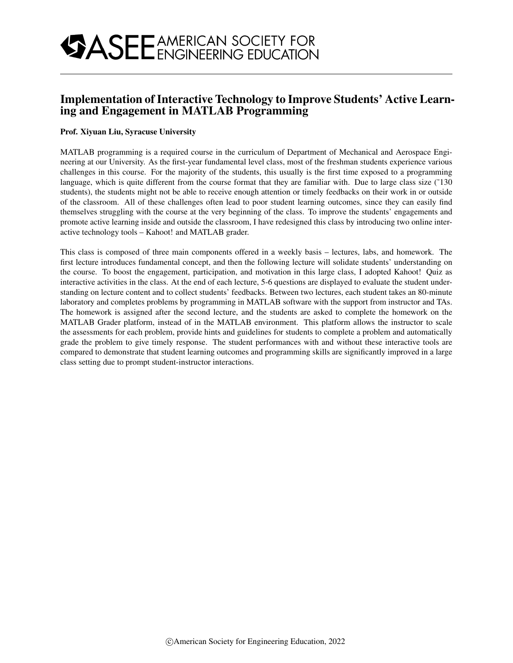## Implementation of Interactive Technology to Improve Students' Active Learning and Engagement in MATLAB Programming

### Prof. Xiyuan Liu, Syracuse University

MATLAB programming is a required course in the curriculum of Department of Mechanical and Aerospace Engineering at our University. As the first-year fundamental level class, most of the freshman students experience various challenges in this course. For the majority of the students, this usually is the first time exposed to a programming language, which is quite different from the course format that they are familiar with. Due to large class size (~130) students), the students might not be able to receive enough attention or timely feedbacks on their work in or outside of the classroom. All of these challenges often lead to poor student learning outcomes, since they can easily find themselves struggling with the course at the very beginning of the class. To improve the students' engagements and promote active learning inside and outside the classroom, I have redesigned this class by introducing two online interactive technology tools – Kahoot! and MATLAB grader.

This class is composed of three main components offered in a weekly basis – lectures, labs, and homework. The first lecture introduces fundamental concept, and then the following lecture will solidate students' understanding on the course. To boost the engagement, participation, and motivation in this large class, I adopted Kahoot! Quiz as interactive activities in the class. At the end of each lecture, 5-6 questions are displayed to evaluate the student understanding on lecture content and to collect students' feedbacks. Between two lectures, each student takes an 80-minute laboratory and completes problems by programming in MATLAB software with the support from instructor and TAs. The homework is assigned after the second lecture, and the students are asked to complete the homework on the MATLAB Grader platform, instead of in the MATLAB environment. This platform allows the instructor to scale the assessments for each problem, provide hints and guidelines for students to complete a problem and automatically grade the problem to give timely response. The student performances with and without these interactive tools are compared to demonstrate that student learning outcomes and programming skills are significantly improved in a large class setting due to prompt student-instructor interactions.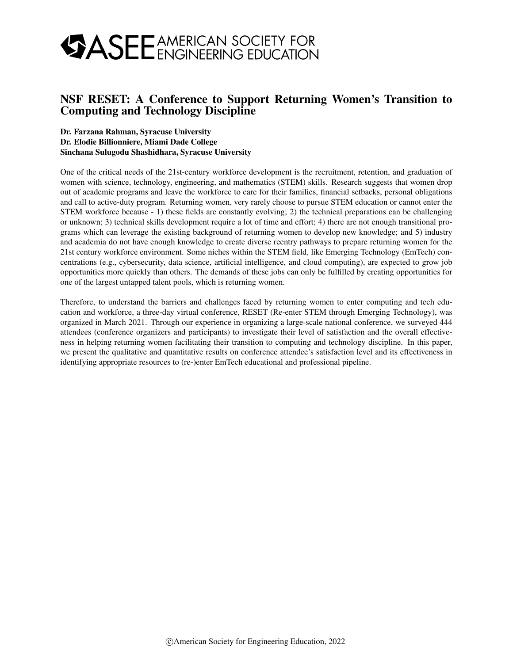## NSF RESET: A Conference to Support Returning Women's Transition to Computing and Technology Discipline

### Dr. Farzana Rahman, Syracuse University Dr. Elodie Billionniere, Miami Dade College Sinchana Sulugodu Shashidhara, Syracuse University

One of the critical needs of the 21st-century workforce development is the recruitment, retention, and graduation of women with science, technology, engineering, and mathematics (STEM) skills. Research suggests that women drop out of academic programs and leave the workforce to care for their families, financial setbacks, personal obligations and call to active-duty program. Returning women, very rarely choose to pursue STEM education or cannot enter the STEM workforce because - 1) these fields are constantly evolving; 2) the technical preparations can be challenging or unknown; 3) technical skills development require a lot of time and effort; 4) there are not enough transitional programs which can leverage the existing background of returning women to develop new knowledge; and 5) industry and academia do not have enough knowledge to create diverse reentry pathways to prepare returning women for the 21st century workforce environment. Some niches within the STEM field, like Emerging Technology (EmTech) concentrations (e.g., cybersecurity, data science, artificial intelligence, and cloud computing), are expected to grow job opportunities more quickly than others. The demands of these jobs can only be fulfilled by creating opportunities for one of the largest untapped talent pools, which is returning women.

Therefore, to understand the barriers and challenges faced by returning women to enter computing and tech education and workforce, a three-day virtual conference, RESET (Re-enter STEM through Emerging Technology), was organized in March 2021. Through our experience in organizing a large-scale national conference, we surveyed 444 attendees (conference organizers and participants) to investigate their level of satisfaction and the overall effectiveness in helping returning women facilitating their transition to computing and technology discipline. In this paper, we present the qualitative and quantitative results on conference attendee's satisfaction level and its effectiveness in identifying appropriate resources to (re-)enter EmTech educational and professional pipeline.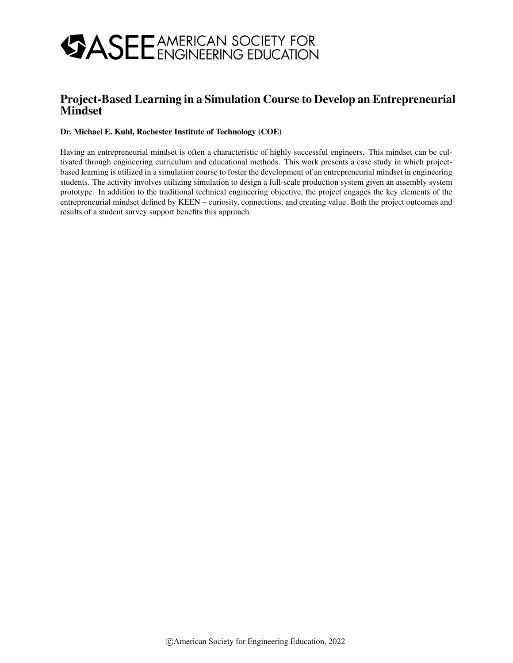

## Project-Based Learning in a Simulation Course to Develop an Entrepreneurial Mindset

### Dr. Michael E. Kuhl, Rochester Institute of Technology (COE)

Having an entrepreneurial mindset is often a characteristic of highly successful engineers. This mindset can be cultivated through engineering curriculum and educational methods. This work presents a case study in which projectbased learning is utilized in a simulation course to foster the development of an entrepreneurial mindset in engineering students. The activity involves utilizing simulation to design a full-scale production system given an assembly system prototype. In addition to the traditional technical engineering objective, the project engages the key elements of the entrepreneurial mindset defined by KEEN – curiosity, connections, and creating value. Both the project outcomes and results of a student survey support benefits this approach.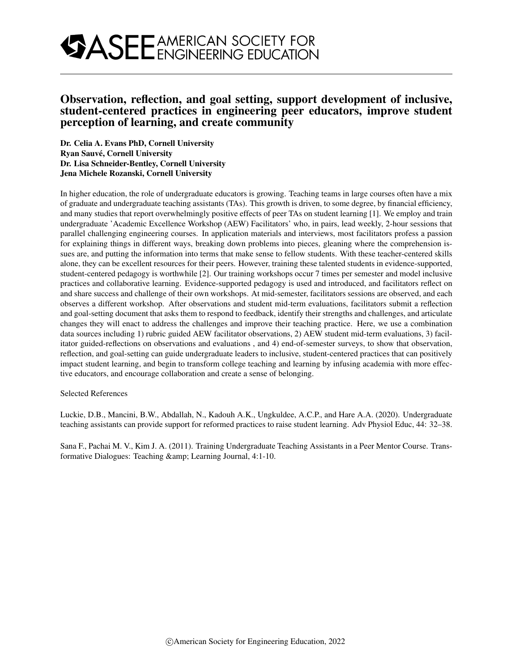## Observation, reflection, and goal setting, support development of inclusive, student-centered practices in engineering peer educators, improve student perception of learning, and create community

Dr. Celia A. Evans PhD, Cornell University Ryan Sauve, Cornell University ´ Dr. Lisa Schneider-Bentley, Cornell University Jena Michele Rozanski, Cornell University

In higher education, the role of undergraduate educators is growing. Teaching teams in large courses often have a mix of graduate and undergraduate teaching assistants (TAs). This growth is driven, to some degree, by financial efficiency, and many studies that report overwhelmingly positive effects of peer TAs on student learning [1]. We employ and train undergraduate 'Academic Excellence Workshop (AEW) Facilitators' who, in pairs, lead weekly, 2-hour sessions that parallel challenging engineering courses. In application materials and interviews, most facilitators profess a passion for explaining things in different ways, breaking down problems into pieces, gleaning where the comprehension issues are, and putting the information into terms that make sense to fellow students. With these teacher-centered skills alone, they can be excellent resources for their peers. However, training these talented students in evidence-supported, student-centered pedagogy is worthwhile [2]. Our training workshops occur 7 times per semester and model inclusive practices and collaborative learning. Evidence-supported pedagogy is used and introduced, and facilitators reflect on and share success and challenge of their own workshops. At mid-semester, facilitators sessions are observed, and each observes a different workshop. After observations and student mid-term evaluations, facilitators submit a reflection and goal-setting document that asks them to respond to feedback, identify their strengths and challenges, and articulate changes they will enact to address the challenges and improve their teaching practice. Here, we use a combination data sources including 1) rubric guided AEW facilitator observations, 2) AEW student mid-term evaluations, 3) facilitator guided-reflections on observations and evaluations , and 4) end-of-semester surveys, to show that observation, reflection, and goal-setting can guide undergraduate leaders to inclusive, student-centered practices that can positively impact student learning, and begin to transform college teaching and learning by infusing academia with more effective educators, and encourage collaboration and create a sense of belonging.

### Selected References

Luckie, D.B., Mancini, B.W., Abdallah, N., Kadouh A.K., Ungkuldee, A.C.P., and Hare A.A. (2020). Undergraduate teaching assistants can provide support for reformed practices to raise student learning. Adv Physiol Educ, 44: 32–38.

Sana F., Pachai M. V., Kim J. A. (2011). Training Undergraduate Teaching Assistants in a Peer Mentor Course. Transformative Dialogues: Teaching & amp; Learning Journal, 4:1-10.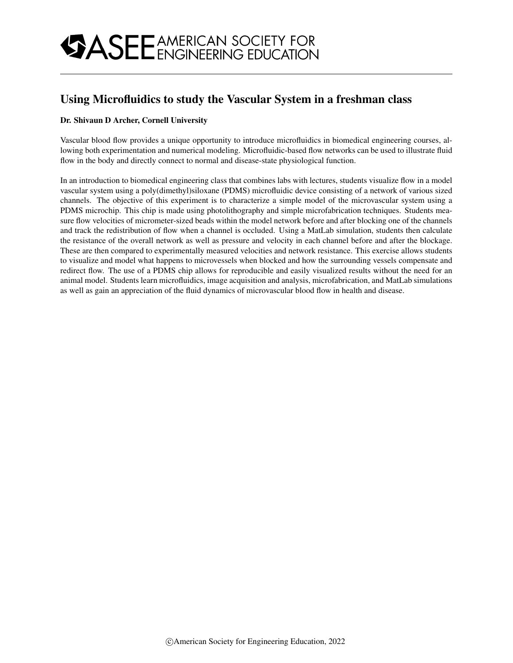## Using Microfluidics to study the Vascular System in a freshman class

### Dr. Shivaun D Archer, Cornell University

Vascular blood flow provides a unique opportunity to introduce microfluidics in biomedical engineering courses, allowing both experimentation and numerical modeling. Microfluidic-based flow networks can be used to illustrate fluid flow in the body and directly connect to normal and disease-state physiological function.

In an introduction to biomedical engineering class that combines labs with lectures, students visualize flow in a model vascular system using a poly(dimethyl)siloxane (PDMS) microfluidic device consisting of a network of various sized channels. The objective of this experiment is to characterize a simple model of the microvascular system using a PDMS microchip. This chip is made using photolithography and simple microfabrication techniques. Students measure flow velocities of micrometer-sized beads within the model network before and after blocking one of the channels and track the redistribution of flow when a channel is occluded. Using a MatLab simulation, students then calculate the resistance of the overall network as well as pressure and velocity in each channel before and after the blockage. These are then compared to experimentally measured velocities and network resistance. This exercise allows students to visualize and model what happens to microvessels when blocked and how the surrounding vessels compensate and redirect flow. The use of a PDMS chip allows for reproducible and easily visualized results without the need for an animal model. Students learn microfluidics, image acquisition and analysis, microfabrication, and MatLab simulations as well as gain an appreciation of the fluid dynamics of microvascular blood flow in health and disease.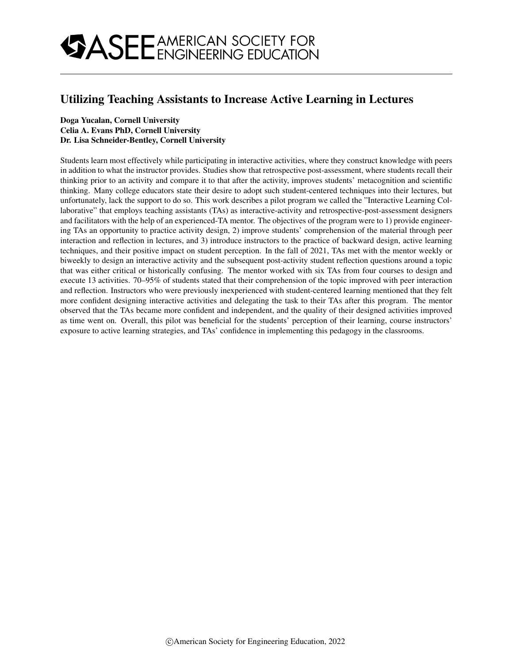## Utilizing Teaching Assistants to Increase Active Learning in Lectures

### Doga Yucalan, Cornell University Celia A. Evans PhD, Cornell University Dr. Lisa Schneider-Bentley, Cornell University

Students learn most effectively while participating in interactive activities, where they construct knowledge with peers in addition to what the instructor provides. Studies show that retrospective post-assessment, where students recall their thinking prior to an activity and compare it to that after the activity, improves students' metacognition and scientific thinking. Many college educators state their desire to adopt such student-centered techniques into their lectures, but unfortunately, lack the support to do so. This work describes a pilot program we called the "Interactive Learning Collaborative" that employs teaching assistants (TAs) as interactive-activity and retrospective-post-assessment designers and facilitators with the help of an experienced-TA mentor. The objectives of the program were to 1) provide engineering TAs an opportunity to practice activity design, 2) improve students' comprehension of the material through peer interaction and reflection in lectures, and 3) introduce instructors to the practice of backward design, active learning techniques, and their positive impact on student perception. In the fall of 2021, TAs met with the mentor weekly or biweekly to design an interactive activity and the subsequent post-activity student reflection questions around a topic that was either critical or historically confusing. The mentor worked with six TAs from four courses to design and execute 13 activities. 70–95% of students stated that their comprehension of the topic improved with peer interaction and reflection. Instructors who were previously inexperienced with student-centered learning mentioned that they felt more confident designing interactive activities and delegating the task to their TAs after this program. The mentor observed that the TAs became more confident and independent, and the quality of their designed activities improved as time went on. Overall, this pilot was beneficial for the students' perception of their learning, course instructors' exposure to active learning strategies, and TAs' confidence in implementing this pedagogy in the classrooms.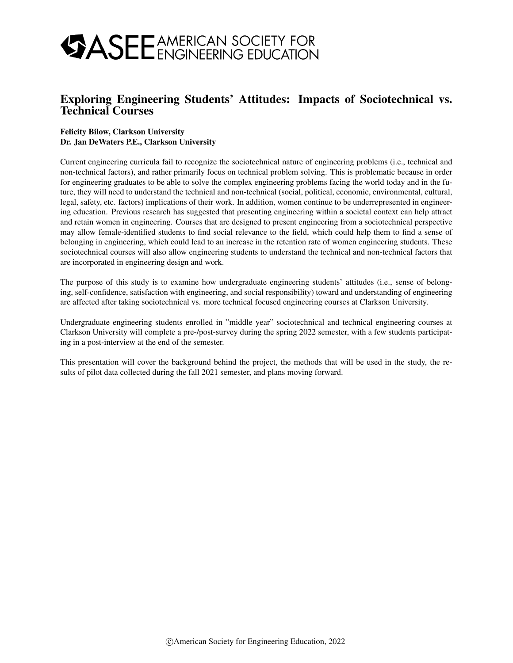## Exploring Engineering Students' Attitudes: Impacts of Sociotechnical vs. Technical Courses

### Felicity Bilow, Clarkson University Dr. Jan DeWaters P.E., Clarkson University

Current engineering curricula fail to recognize the sociotechnical nature of engineering problems (i.e., technical and non-technical factors), and rather primarily focus on technical problem solving. This is problematic because in order for engineering graduates to be able to solve the complex engineering problems facing the world today and in the future, they will need to understand the technical and non-technical (social, political, economic, environmental, cultural, legal, safety, etc. factors) implications of their work. In addition, women continue to be underrepresented in engineering education. Previous research has suggested that presenting engineering within a societal context can help attract and retain women in engineering. Courses that are designed to present engineering from a sociotechnical perspective may allow female-identified students to find social relevance to the field, which could help them to find a sense of belonging in engineering, which could lead to an increase in the retention rate of women engineering students. These sociotechnical courses will also allow engineering students to understand the technical and non-technical factors that are incorporated in engineering design and work.

The purpose of this study is to examine how undergraduate engineering students' attitudes (i.e., sense of belonging, self-confidence, satisfaction with engineering, and social responsibility) toward and understanding of engineering are affected after taking sociotechnical vs. more technical focused engineering courses at Clarkson University.

Undergraduate engineering students enrolled in "middle year" sociotechnical and technical engineering courses at Clarkson University will complete a pre-/post-survey during the spring 2022 semester, with a few students participating in a post-interview at the end of the semester.

This presentation will cover the background behind the project, the methods that will be used in the study, the results of pilot data collected during the fall 2021 semester, and plans moving forward.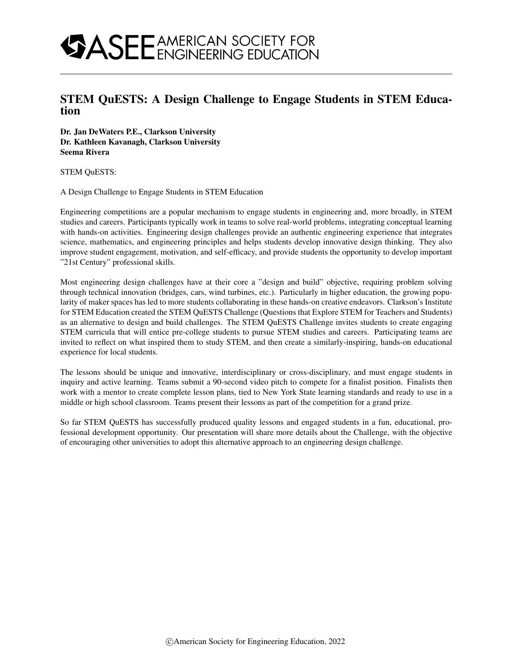## STEM QuESTS: A Design Challenge to Engage Students in STEM Education

Dr. Jan DeWaters P.E., Clarkson University Dr. Kathleen Kavanagh, Clarkson University Seema Rivera

STEM QuESTS:

A Design Challenge to Engage Students in STEM Education

Engineering competitions are a popular mechanism to engage students in engineering and, more broadly, in STEM studies and careers. Participants typically work in teams to solve real-world problems, integrating conceptual learning with hands-on activities. Engineering design challenges provide an authentic engineering experience that integrates science, mathematics, and engineering principles and helps students develop innovative design thinking. They also improve student engagement, motivation, and self-efficacy, and provide students the opportunity to develop important "21st Century" professional skills.

Most engineering design challenges have at their core a "design and build" objective, requiring problem solving through technical innovation (bridges, cars, wind turbines, etc.). Particularly in higher education, the growing popularity of maker spaces has led to more students collaborating in these hands-on creative endeavors. Clarkson's Institute for STEM Education created the STEM QuESTS Challenge (Questions that Explore STEM for Teachers and Students) as an alternative to design and build challenges. The STEM QuESTS Challenge invites students to create engaging STEM curricula that will entice pre-college students to pursue STEM studies and careers. Participating teams are invited to reflect on what inspired them to study STEM, and then create a similarly-inspiring, hands-on educational experience for local students.

The lessons should be unique and innovative, interdisciplinary or cross-disciplinary, and must engage students in inquiry and active learning. Teams submit a 90-second video pitch to compete for a finalist position. Finalists then work with a mentor to create complete lesson plans, tied to New York State learning standards and ready to use in a middle or high school classroom. Teams present their lessons as part of the competition for a grand prize.

So far STEM QuESTS has successfully produced quality lessons and engaged students in a fun, educational, professional development opportunity. Our presentation will share more details about the Challenge, with the objective of encouraging other universities to adopt this alternative approach to an engineering design challenge.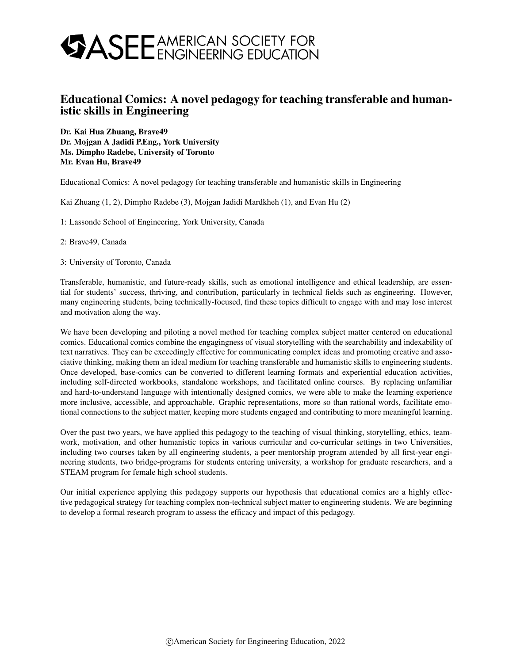## Educational Comics: A novel pedagogy for teaching transferable and humanistic skills in Engineering

Dr. Kai Hua Zhuang, Brave49 Dr. Mojgan A Jadidi P.Eng., York University Ms. Dimpho Radebe, University of Toronto Mr. Evan Hu, Brave49

Educational Comics: A novel pedagogy for teaching transferable and humanistic skills in Engineering

Kai Zhuang (1, 2), Dimpho Radebe (3), Mojgan Jadidi Mardkheh (1), and Evan Hu (2)

1: Lassonde School of Engineering, York University, Canada

2: Brave49, Canada

3: University of Toronto, Canada

Transferable, humanistic, and future-ready skills, such as emotional intelligence and ethical leadership, are essential for students' success, thriving, and contribution, particularly in technical fields such as engineering. However, many engineering students, being technically-focused, find these topics difficult to engage with and may lose interest and motivation along the way.

We have been developing and piloting a novel method for teaching complex subject matter centered on educational comics. Educational comics combine the engagingness of visual storytelling with the searchability and indexability of text narratives. They can be exceedingly effective for communicating complex ideas and promoting creative and associative thinking, making them an ideal medium for teaching transferable and humanistic skills to engineering students. Once developed, base-comics can be converted to different learning formats and experiential education activities, including self-directed workbooks, standalone workshops, and facilitated online courses. By replacing unfamiliar and hard-to-understand language with intentionally designed comics, we were able to make the learning experience more inclusive, accessible, and approachable. Graphic representations, more so than rational words, facilitate emotional connections to the subject matter, keeping more students engaged and contributing to more meaningful learning.

Over the past two years, we have applied this pedagogy to the teaching of visual thinking, storytelling, ethics, teamwork, motivation, and other humanistic topics in various curricular and co-curricular settings in two Universities, including two courses taken by all engineering students, a peer mentorship program attended by all first-year engineering students, two bridge-programs for students entering university, a workshop for graduate researchers, and a STEAM program for female high school students.

Our initial experience applying this pedagogy supports our hypothesis that educational comics are a highly effective pedagogical strategy for teaching complex non-technical subject matter to engineering students. We are beginning to develop a formal research program to assess the efficacy and impact of this pedagogy.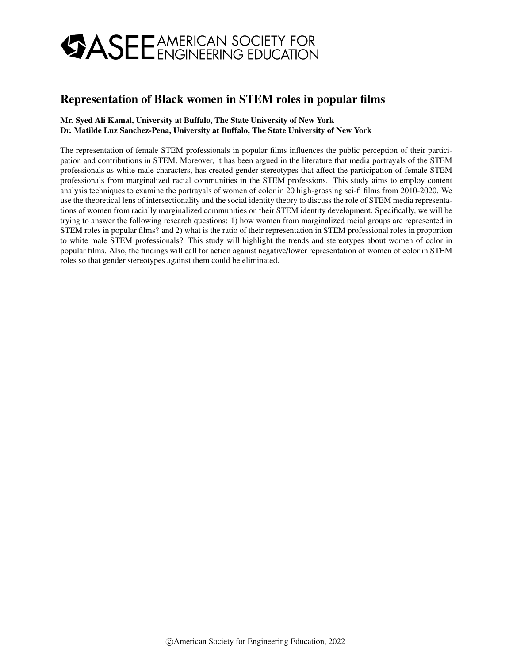## Representation of Black women in STEM roles in popular films

### Mr. Syed Ali Kamal, University at Buffalo, The State University of New York Dr. Matilde Luz Sanchez-Pena, University at Buffalo, The State University of New York

The representation of female STEM professionals in popular films influences the public perception of their participation and contributions in STEM. Moreover, it has been argued in the literature that media portrayals of the STEM professionals as white male characters, has created gender stereotypes that affect the participation of female STEM professionals from marginalized racial communities in the STEM professions. This study aims to employ content analysis techniques to examine the portrayals of women of color in 20 high-grossing sci-fi films from 2010-2020. We use the theoretical lens of intersectionality and the social identity theory to discuss the role of STEM media representations of women from racially marginalized communities on their STEM identity development. Specifically, we will be trying to answer the following research questions: 1) how women from marginalized racial groups are represented in STEM roles in popular films? and 2) what is the ratio of their representation in STEM professional roles in proportion to white male STEM professionals? This study will highlight the trends and stereotypes about women of color in popular films. Also, the findings will call for action against negative/lower representation of women of color in STEM roles so that gender stereotypes against them could be eliminated.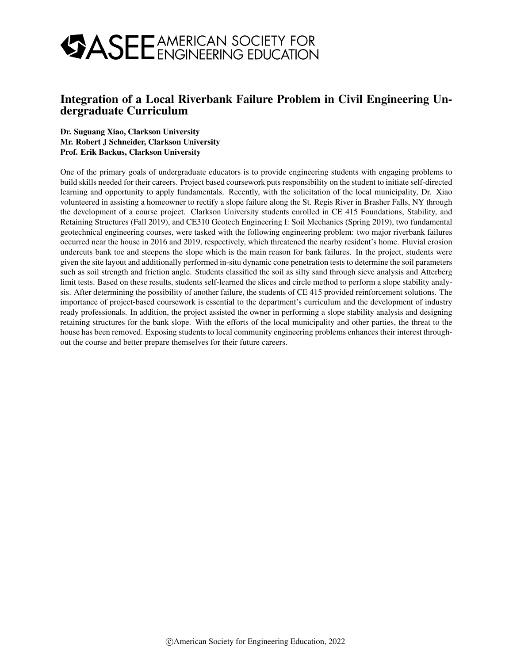

## Integration of a Local Riverbank Failure Problem in Civil Engineering Undergraduate Curriculum

#### Dr. Suguang Xiao, Clarkson University Mr. Robert J Schneider, Clarkson University Prof. Erik Backus, Clarkson University

One of the primary goals of undergraduate educators is to provide engineering students with engaging problems to build skills needed for their careers. Project based coursework puts responsibility on the student to initiate self-directed learning and opportunity to apply fundamentals. Recently, with the solicitation of the local municipality, Dr. Xiao volunteered in assisting a homeowner to rectify a slope failure along the St. Regis River in Brasher Falls, NY through the development of a course project. Clarkson University students enrolled in CE 415 Foundations, Stability, and Retaining Structures (Fall 2019), and CE310 Geotech Engineering I: Soil Mechanics (Spring 2019), two fundamental geotechnical engineering courses, were tasked with the following engineering problem: two major riverbank failures occurred near the house in 2016 and 2019, respectively, which threatened the nearby resident's home. Fluvial erosion undercuts bank toe and steepens the slope which is the main reason for bank failures. In the project, students were given the site layout and additionally performed in-situ dynamic cone penetration tests to determine the soil parameters such as soil strength and friction angle. Students classified the soil as silty sand through sieve analysis and Atterberg limit tests. Based on these results, students self-learned the slices and circle method to perform a slope stability analysis. After determining the possibility of another failure, the students of CE 415 provided reinforcement solutions. The importance of project-based coursework is essential to the department's curriculum and the development of industry ready professionals. In addition, the project assisted the owner in performing a slope stability analysis and designing retaining structures for the bank slope. With the efforts of the local municipality and other parties, the threat to the house has been removed. Exposing students to local community engineering problems enhances their interest throughout the course and better prepare themselves for their future careers.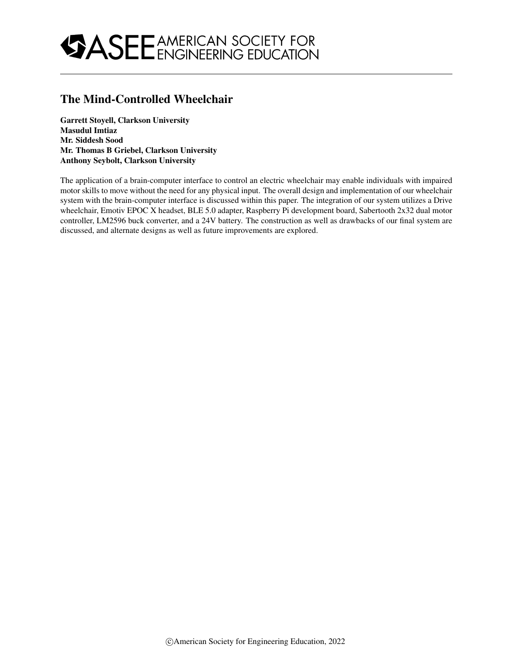## The Mind-Controlled Wheelchair

Garrett Stoyell, Clarkson University Masudul Imtiaz Mr. Siddesh Sood Mr. Thomas B Griebel, Clarkson University Anthony Seybolt, Clarkson University

The application of a brain-computer interface to control an electric wheelchair may enable individuals with impaired motor skills to move without the need for any physical input. The overall design and implementation of our wheelchair system with the brain-computer interface is discussed within this paper. The integration of our system utilizes a Drive wheelchair, Emotiv EPOC X headset, BLE 5.0 adapter, Raspberry Pi development board, Sabertooth 2x32 dual motor controller, LM2596 buck converter, and a 24V battery. The construction as well as drawbacks of our final system are discussed, and alternate designs as well as future improvements are explored.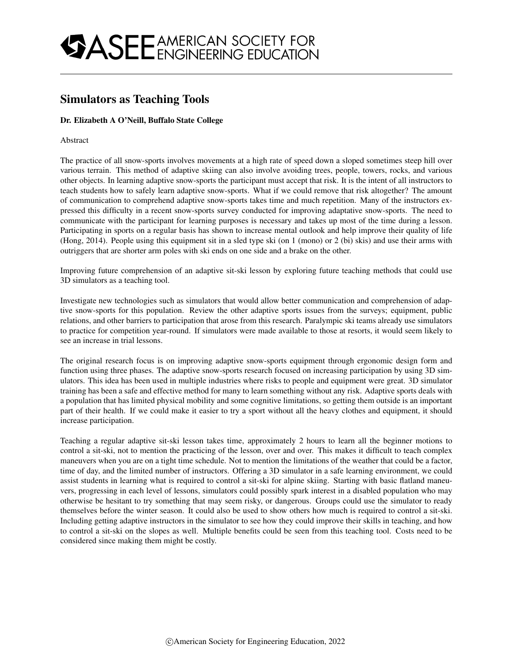## Simulators as Teaching Tools

### Dr. Elizabeth A O'Neill, Buffalo State College

#### Abstract

The practice of all snow-sports involves movements at a high rate of speed down a sloped sometimes steep hill over various terrain. This method of adaptive skiing can also involve avoiding trees, people, towers, rocks, and various other objects. In learning adaptive snow-sports the participant must accept that risk. It is the intent of all instructors to teach students how to safely learn adaptive snow-sports. What if we could remove that risk altogether? The amount of communication to comprehend adaptive snow-sports takes time and much repetition. Many of the instructors expressed this difficulty in a recent snow-sports survey conducted for improving adaptative snow-sports. The need to communicate with the participant for learning purposes is necessary and takes up most of the time during a lesson. Participating in sports on a regular basis has shown to increase mental outlook and help improve their quality of life (Hong, 2014). People using this equipment sit in a sled type ski (on 1 (mono) or 2 (bi) skis) and use their arms with outriggers that are shorter arm poles with ski ends on one side and a brake on the other.

Improving future comprehension of an adaptive sit-ski lesson by exploring future teaching methods that could use 3D simulators as a teaching tool.

Investigate new technologies such as simulators that would allow better communication and comprehension of adaptive snow-sports for this population. Review the other adaptive sports issues from the surveys; equipment, public relations, and other barriers to participation that arose from this research. Paralympic ski teams already use simulators to practice for competition year-round. If simulators were made available to those at resorts, it would seem likely to see an increase in trial lessons.

The original research focus is on improving adaptive snow-sports equipment through ergonomic design form and function using three phases. The adaptive snow-sports research focused on increasing participation by using 3D simulators. This idea has been used in multiple industries where risks to people and equipment were great. 3D simulator training has been a safe and effective method for many to learn something without any risk. Adaptive sports deals with a population that has limited physical mobility and some cognitive limitations, so getting them outside is an important part of their health. If we could make it easier to try a sport without all the heavy clothes and equipment, it should increase participation.

Teaching a regular adaptive sit-ski lesson takes time, approximately 2 hours to learn all the beginner motions to control a sit-ski, not to mention the practicing of the lesson, over and over. This makes it difficult to teach complex maneuvers when you are on a tight time schedule. Not to mention the limitations of the weather that could be a factor, time of day, and the limited number of instructors. Offering a 3D simulator in a safe learning environment, we could assist students in learning what is required to control a sit-ski for alpine skiing. Starting with basic flatland maneuvers, progressing in each level of lessons, simulators could possibly spark interest in a disabled population who may otherwise be hesitant to try something that may seem risky, or dangerous. Groups could use the simulator to ready themselves before the winter season. It could also be used to show others how much is required to control a sit-ski. Including getting adaptive instructors in the simulator to see how they could improve their skills in teaching, and how to control a sit-ski on the slopes as well. Multiple benefits could be seen from this teaching tool. Costs need to be considered since making them might be costly.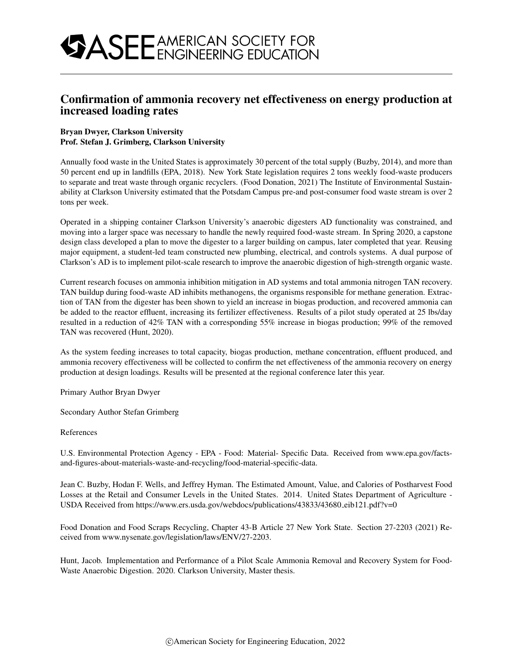### Confirmation of ammonia recovery net effectiveness on energy production at increased loading rates

### Bryan Dwyer, Clarkson University Prof. Stefan J. Grimberg, Clarkson University

Annually food waste in the United States is approximately 30 percent of the total supply (Buzby, 2014), and more than 50 percent end up in landfills (EPA, 2018). New York State legislation requires 2 tons weekly food-waste producers to separate and treat waste through organic recyclers. (Food Donation, 2021) The Institute of Environmental Sustainability at Clarkson University estimated that the Potsdam Campus pre-and post-consumer food waste stream is over 2 tons per week.

Operated in a shipping container Clarkson University's anaerobic digesters AD functionality was constrained, and moving into a larger space was necessary to handle the newly required food-waste stream. In Spring 2020, a capstone design class developed a plan to move the digester to a larger building on campus, later completed that year. Reusing major equipment, a student-led team constructed new plumbing, electrical, and controls systems. A dual purpose of Clarkson's AD is to implement pilot-scale research to improve the anaerobic digestion of high-strength organic waste.

Current research focuses on ammonia inhibition mitigation in AD systems and total ammonia nitrogen TAN recovery. TAN buildup during food-waste AD inhibits methanogens, the organisms responsible for methane generation. Extraction of TAN from the digester has been shown to yield an increase in biogas production, and recovered ammonia can be added to the reactor effluent, increasing its fertilizer effectiveness. Results of a pilot study operated at 25 lbs/day resulted in a reduction of 42% TAN with a corresponding 55% increase in biogas production; 99% of the removed TAN was recovered (Hunt, 2020).

As the system feeding increases to total capacity, biogas production, methane concentration, effluent produced, and ammonia recovery effectiveness will be collected to confirm the net effectiveness of the ammonia recovery on energy production at design loadings. Results will be presented at the regional conference later this year.

Primary Author Bryan Dwyer

Secondary Author Stefan Grimberg

References

U.S. Environmental Protection Agency - EPA - Food: Material- Specific Data. Received from www.epa.gov/factsand-figures-about-materials-waste-and-recycling/food-material-specific-data.

Jean C. Buzby, Hodan F. Wells, and Jeffrey Hyman. The Estimated Amount, Value, and Calories of Postharvest Food Losses at the Retail and Consumer Levels in the United States. 2014. United States Department of Agriculture - USDA Received from https://www.ers.usda.gov/webdocs/publications/43833/43680 eib121.pdf?v=0

Food Donation and Food Scraps Recycling, Chapter 43-B Article 27 New York State. Section 27-2203 (2021) Received from www.nysenate.gov/legislation/laws/ENV/27-2203.

Hunt, Jacob. Implementation and Performance of a Pilot Scale Ammonia Removal and Recovery System for Food-Waste Anaerobic Digestion. 2020. Clarkson University, Master thesis.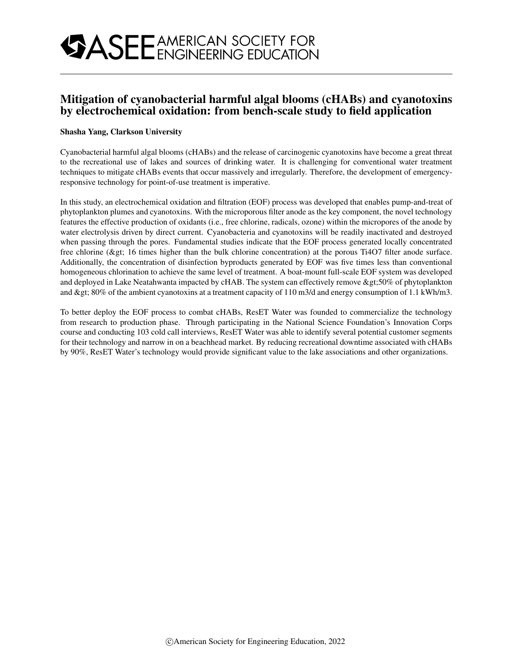## Mitigation of cyanobacterial harmful algal blooms (cHABs) and cyanotoxins by electrochemical oxidation: from bench-scale study to field application

### Shasha Yang, Clarkson University

Cyanobacterial harmful algal blooms (cHABs) and the release of carcinogenic cyanotoxins have become a great threat to the recreational use of lakes and sources of drinking water. It is challenging for conventional water treatment techniques to mitigate cHABs events that occur massively and irregularly. Therefore, the development of emergencyresponsive technology for point-of-use treatment is imperative.

In this study, an electrochemical oxidation and filtration (EOF) process was developed that enables pump-and-treat of phytoplankton plumes and cyanotoxins. With the microporous filter anode as the key component, the novel technology features the effective production of oxidants (i.e., free chlorine, radicals, ozone) within the micropores of the anode by water electrolysis driven by direct current. Cyanobacteria and cyanotoxins will be readily inactivated and destroyed when passing through the pores. Fundamental studies indicate that the EOF process generated locally concentrated free chlorine ( $\>$  16 times higher than the bulk chlorine concentration) at the porous Ti4O7 filter anode surface. Additionally, the concentration of disinfection byproducts generated by EOF was five times less than conventional homogeneous chlorination to achieve the same level of treatment. A boat-mount full-scale EOF system was developed and deployed in Lake Neatahwanta impacted by cHAB. The system can effectively remove  $\>g(50\%$  of phytoplankton and  $\> g$ ; 80% of the ambient cyanotoxins at a treatment capacity of 110 m3/d and energy consumption of 1.1 kWh/m3.

To better deploy the EOF process to combat cHABs, ResET Water was founded to commercialize the technology from research to production phase. Through participating in the National Science Foundation's Innovation Corps course and conducting 103 cold call interviews, ResET Water was able to identify several potential customer segments for their technology and narrow in on a beachhead market. By reducing recreational downtime associated with cHABs by 90%, ResET Water's technology would provide significant value to the lake associations and other organizations.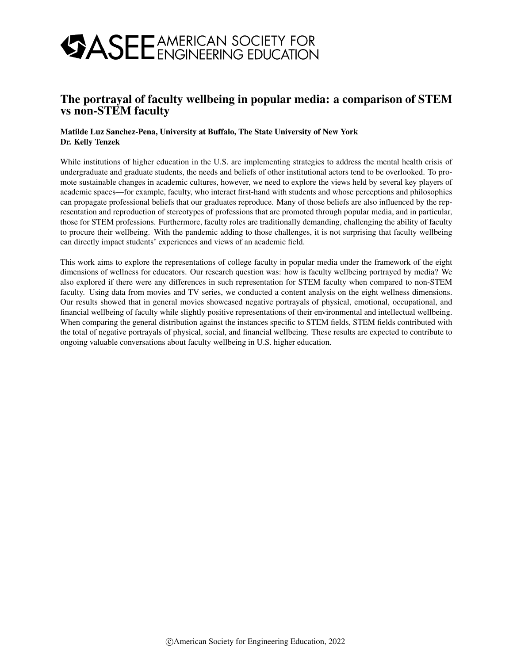## The portrayal of faculty wellbeing in popular media: a comparison of STEM vs non-STEM faculty

### Matilde Luz Sanchez-Pena, University at Buffalo, The State University of New York Dr. Kelly Tenzek

While institutions of higher education in the U.S. are implementing strategies to address the mental health crisis of undergraduate and graduate students, the needs and beliefs of other institutional actors tend to be overlooked. To promote sustainable changes in academic cultures, however, we need to explore the views held by several key players of academic spaces—for example, faculty, who interact first-hand with students and whose perceptions and philosophies can propagate professional beliefs that our graduates reproduce. Many of those beliefs are also influenced by the representation and reproduction of stereotypes of professions that are promoted through popular media, and in particular, those for STEM professions. Furthermore, faculty roles are traditionally demanding, challenging the ability of faculty to procure their wellbeing. With the pandemic adding to those challenges, it is not surprising that faculty wellbeing can directly impact students' experiences and views of an academic field.

This work aims to explore the representations of college faculty in popular media under the framework of the eight dimensions of wellness for educators. Our research question was: how is faculty wellbeing portrayed by media? We also explored if there were any differences in such representation for STEM faculty when compared to non-STEM faculty. Using data from movies and TV series, we conducted a content analysis on the eight wellness dimensions. Our results showed that in general movies showcased negative portrayals of physical, emotional, occupational, and financial wellbeing of faculty while slightly positive representations of their environmental and intellectual wellbeing. When comparing the general distribution against the instances specific to STEM fields, STEM fields contributed with the total of negative portrayals of physical, social, and financial wellbeing. These results are expected to contribute to ongoing valuable conversations about faculty wellbeing in U.S. higher education.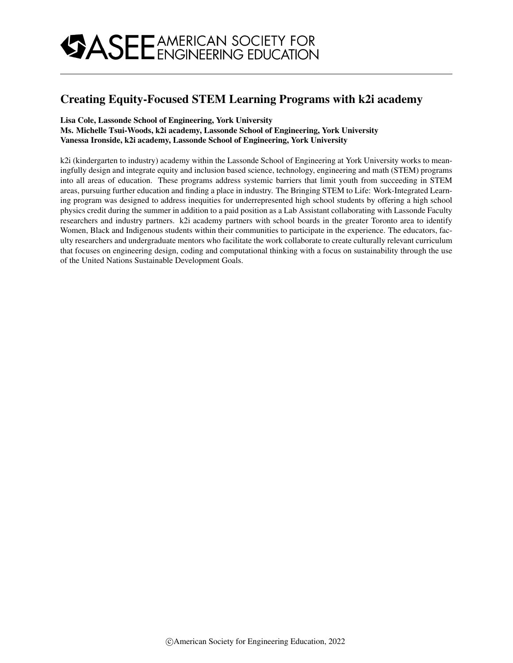## Creating Equity-Focused STEM Learning Programs with k2i academy

### Lisa Cole, Lassonde School of Engineering, York University

### Ms. Michelle Tsui-Woods, k2i academy, Lassonde School of Engineering, York University Vanessa Ironside, k2i academy, Lassonde School of Engineering, York University

k2i (kindergarten to industry) academy within the Lassonde School of Engineering at York University works to meaningfully design and integrate equity and inclusion based science, technology, engineering and math (STEM) programs into all areas of education. These programs address systemic barriers that limit youth from succeeding in STEM areas, pursuing further education and finding a place in industry. The Bringing STEM to Life: Work-Integrated Learning program was designed to address inequities for underrepresented high school students by offering a high school physics credit during the summer in addition to a paid position as a Lab Assistant collaborating with Lassonde Faculty researchers and industry partners. k2i academy partners with school boards in the greater Toronto area to identify Women, Black and Indigenous students within their communities to participate in the experience. The educators, faculty researchers and undergraduate mentors who facilitate the work collaborate to create culturally relevant curriculum that focuses on engineering design, coding and computational thinking with a focus on sustainability through the use of the United Nations Sustainable Development Goals.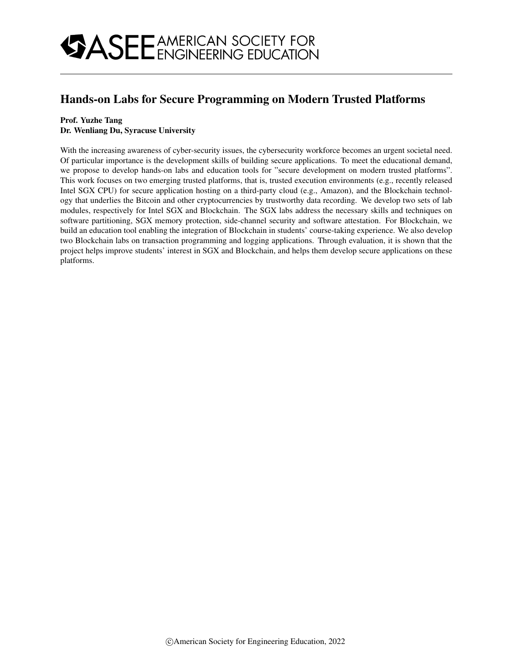## Hands-on Labs for Secure Programming on Modern Trusted Platforms

### Prof. Yuzhe Tang

### Dr. Wenliang Du, Syracuse University

With the increasing awareness of cyber-security issues, the cybersecurity workforce becomes an urgent societal need. Of particular importance is the development skills of building secure applications. To meet the educational demand, we propose to develop hands-on labs and education tools for "secure development on modern trusted platforms". This work focuses on two emerging trusted platforms, that is, trusted execution environments (e.g., recently released Intel SGX CPU) for secure application hosting on a third-party cloud (e.g., Amazon), and the Blockchain technology that underlies the Bitcoin and other cryptocurrencies by trustworthy data recording. We develop two sets of lab modules, respectively for Intel SGX and Blockchain. The SGX labs address the necessary skills and techniques on software partitioning, SGX memory protection, side-channel security and software attestation. For Blockchain, we build an education tool enabling the integration of Blockchain in students' course-taking experience. We also develop two Blockchain labs on transaction programming and logging applications. Through evaluation, it is shown that the project helps improve students' interest in SGX and Blockchain, and helps them develop secure applications on these platforms.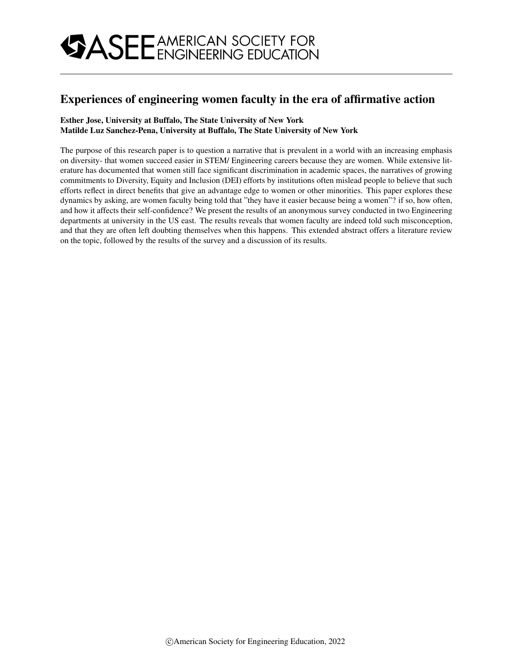## Experiences of engineering women faculty in the era of affirmative action

### Esther Jose, University at Buffalo, The State University of New York Matilde Luz Sanchez-Pena, University at Buffalo, The State University of New York

The purpose of this research paper is to question a narrative that is prevalent in a world with an increasing emphasis on diversity- that women succeed easier in STEM/ Engineering careers because they are women. While extensive literature has documented that women still face significant discrimination in academic spaces, the narratives of growing commitments to Diversity, Equity and Inclusion (DEI) efforts by institutions often mislead people to believe that such efforts reflect in direct benefits that give an advantage edge to women or other minorities. This paper explores these dynamics by asking, are women faculty being told that "they have it easier because being a women"? if so, how often, and how it affects their self-confidence? We present the results of an anonymous survey conducted in two Engineering departments at university in the US east. The results reveals that women faculty are indeed told such misconception, and that they are often left doubting themselves when this happens. This extended abstract offers a literature review on the topic, followed by the results of the survey and a discussion of its results.